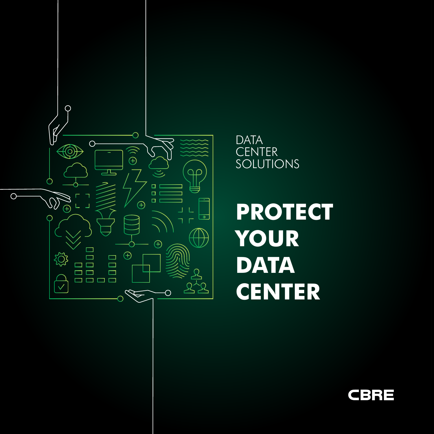

## **DATA CENTER** SOLUTIONS

**PROTECT YOUR DATA CENTER**

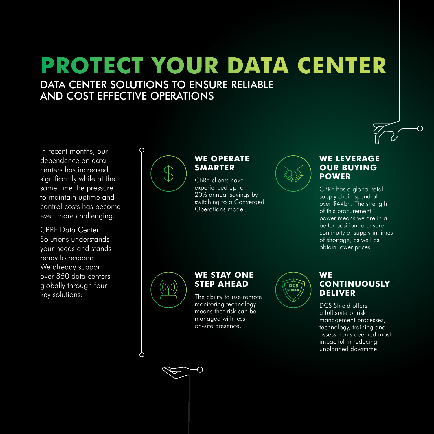# **PROTECT YOUR DATA CENTER**

### DATA CENTER SOLUTIONS TO ENSURE RELIABLE AND COST EFFECTIVE OPERATIONS

O

In recent months, our dependence on data centers has increased significantly while at the same time the pressure to maintain uptime and control costs has become even more challenging.

CBRE Data Center Solutions understands your needs and stands ready to respond. We already support over 850 data centers globally through four key solutions:



#### **WE OPERATE SMARTER**

CBRE clients have experienced up to 20% annual savings by switching to a Converged Operations model.



#### **WE LEVERAGE OUR BUYING POWER**

CBRE has a global total supply chain spend of over \$44bn. The strength of this procurement power means we are in a better position to ensure continuity of supply in times of shortage, as well as obtain lower prices.



O

#### **WE STAY ONE STEP AHEAD**

The ability to use remote monitoring technology means that risk can be managed with less on-site presence.

 $\overline{\bigcirc}$ 



#### **WE CONTINUOUSLY DELIVER**

DCS Shield offers a full suite of risk management processes, technology, training and assessments deemed most impactful in reducing unplanned downtime.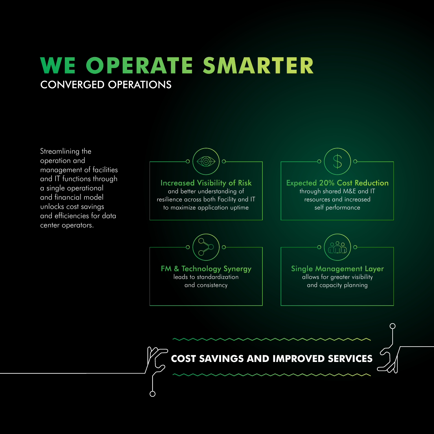## **WE OPERATE SMARTER** CONVERGED OPERATIONS

Streamlining the operation and management of facilities and IT functions through a single operational and financial model unlocks cost savings and efficiencies for data center operators.

Increased Visibility of Risk and better understanding of resilience across both Facility and IT to maximize application uptime

 $\overline{O}$ 

 $\overline{O}$ 

FM & Technology Synergy leads to standardization and consistency

O



Expected 20% Cost Reduction

through shared M&E and IT resources and increased

self performance

allows for greater visibility and capacity planning

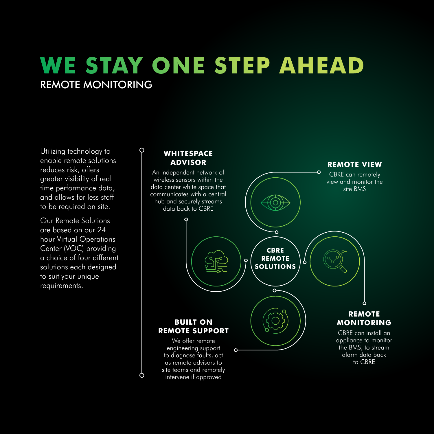# **WE STAY ONE STEP AHEAD** REMOTE MONITORING

Utilizing technology to enable remote solutions reduces risk, offers greater visibility of real time performance data, and allows for less staff to be required on site.

Our Remote Solutions are based on our 24 hour Virtual Operations Center (VOC) providing a choice of four different solutions each designed to suit your unique requirements.

#### **WHITESPACE ADVISOR**

 $\mathsf{Q}$ 

 $\circ$ 

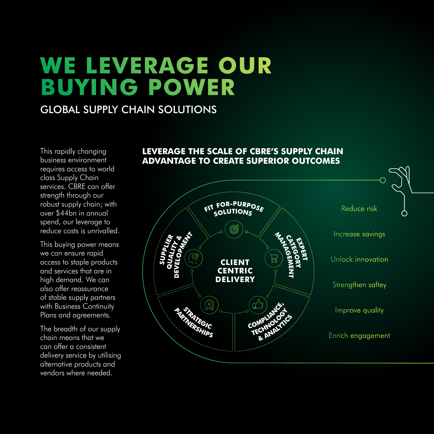# **WE LEVERAGE OUR BUYING POWER**

### GLOBAL SUPPLY CHAIN SOLUTIONS

This rapidly changing business environment requires access to world class Supply Chain services. CBRE can offer strength through our robust supply chain; with over \$44bn in annual spend, our leverage to reduce costs is unrivalled.

This buying power means we can ensure rapid access to staple products and services that are in high demand. We can also offer reassurance of stable supply partners with Business Continuity Plans and agreements.

The breadth of our supply chain means that we can offer a consistent delivery service by utilising alternative products and vendors where needed.

#### **LEVERAGE THE SCALE OF CBRE'S SUPPLY CHAIN ADVANTAGE TO CREATE SUPERIOR OUTCOMES**

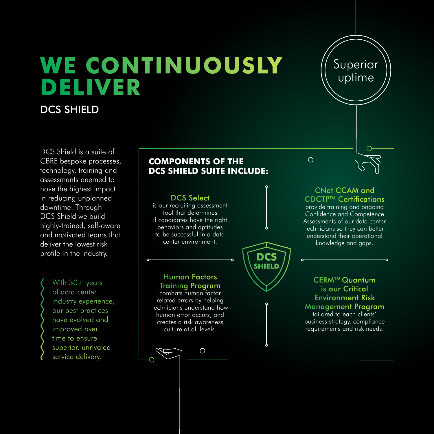# **WE CONTINUOUSLY DELIVER**

### DCS SHIELD

DCS Shield is a suite of CBRE bespoke processes, technology, training and assessments deemed to have the highest impact in reducing unplanned downtime. Through DCS Shield we build highly-trained, self-aware and motivated teams that deliver the lowest risk profile in the industry.

#### With 30+ years

of data center industry experience, our best practices have evolved and improved over time to ensure superior, unrivaled service delivery.

#### **COMPONENTS OF THE DCS SHIELD SUITE INCLUDE:**

#### behaviors and aptitudes to be successful in a data center environment. **DCS SHIELD** Human Factors Training Program

combats human factor related errors by helping technicians understand how human error occurs, and creates a risk awareness culture at all levels.

DCS Select is our recruiting assessment tool that determines if candidates have the right

CNet CCAM and CDCTP<sup>™</sup> Certifications provide training and ongoing Confidence and Competence Assessments of our data center technicians so they can better understand their operational

Superior

uptime

knowledge and gaps.

CERM<sup>™</sup> Quantum is our Critical Environment Risk Management Program tailored to each clients'

business strategy, compliance requirements and risk needs.